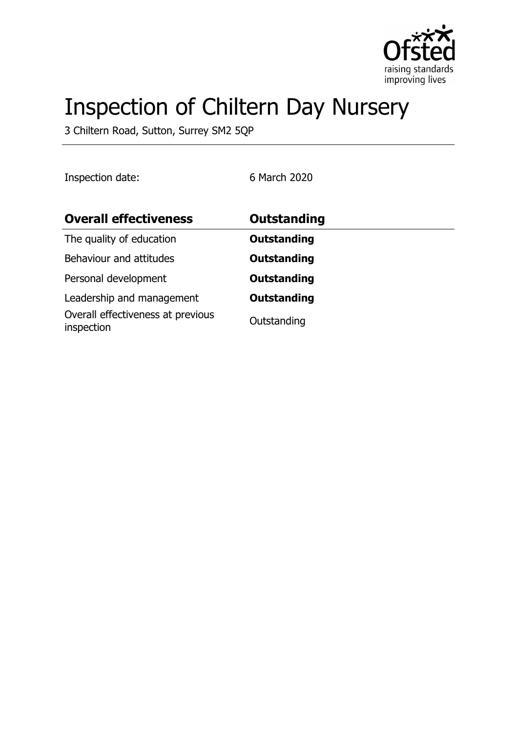

# Inspection of Chiltern Day Nursery

3 Chiltern Road, Sutton, Surrey SM2 5QP

Inspection date: 6 March 2020

| <b>Overall effectiveness</b>                    | Outstanding        |
|-------------------------------------------------|--------------------|
| The quality of education                        | <b>Outstanding</b> |
| Behaviour and attitudes                         | <b>Outstanding</b> |
| Personal development                            | <b>Outstanding</b> |
| Leadership and management                       | <b>Outstanding</b> |
| Overall effectiveness at previous<br>inspection | Outstanding        |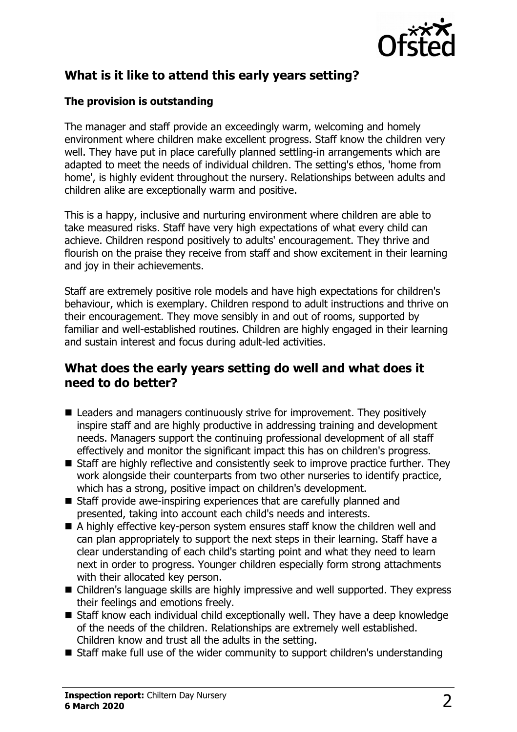

## **What is it like to attend this early years setting?**

#### **The provision is outstanding**

The manager and staff provide an exceedingly warm, welcoming and homely environment where children make excellent progress. Staff know the children very well. They have put in place carefully planned settling-in arrangements which are adapted to meet the needs of individual children. The setting's ethos, 'home from home', is highly evident throughout the nursery. Relationships between adults and children alike are exceptionally warm and positive.

This is a happy, inclusive and nurturing environment where children are able to take measured risks. Staff have very high expectations of what every child can achieve. Children respond positively to adults' encouragement. They thrive and flourish on the praise they receive from staff and show excitement in their learning and joy in their achievements.

Staff are extremely positive role models and have high expectations for children's behaviour, which is exemplary. Children respond to adult instructions and thrive on their encouragement. They move sensibly in and out of rooms, supported by familiar and well-established routines. Children are highly engaged in their learning and sustain interest and focus during adult-led activities.

#### **What does the early years setting do well and what does it need to do better?**

- $\blacksquare$  Leaders and managers continuously strive for improvement. They positively inspire staff and are highly productive in addressing training and development needs. Managers support the continuing professional development of all staff effectively and monitor the significant impact this has on children's progress.
- $\blacksquare$  Staff are highly reflective and consistently seek to improve practice further. They work alongside their counterparts from two other nurseries to identify practice, which has a strong, positive impact on children's development.
- $\blacksquare$  Staff provide awe-inspiring experiences that are carefully planned and presented, taking into account each child's needs and interests.
- $\blacksquare$  A highly effective key-person system ensures staff know the children well and can plan appropriately to support the next steps in their learning. Staff have a clear understanding of each child's starting point and what they need to learn next in order to progress. Younger children especially form strong attachments with their allocated key person.
- Children's language skills are highly impressive and well supported. They express their feelings and emotions freely.
- Staff know each individual child exceptionally well. They have a deep knowledge of the needs of the children. Relationships are extremely well established. Children know and trust all the adults in the setting.
- $\blacksquare$  Staff make full use of the wider community to support children's understanding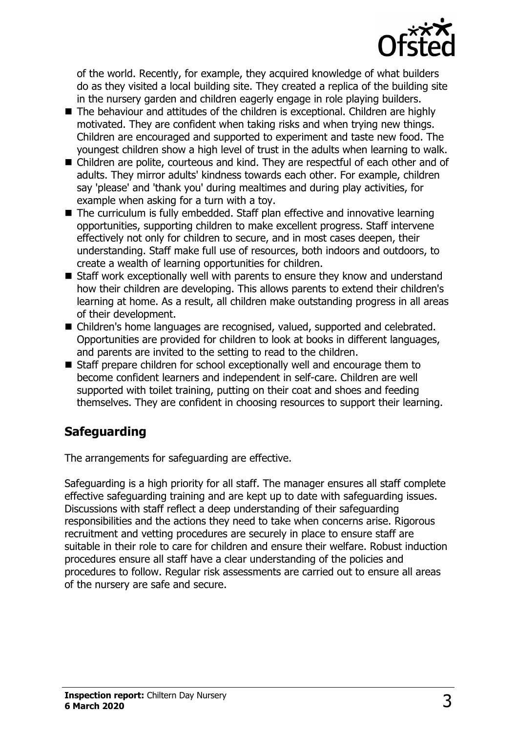

of the world. Recently, for example, they acquired knowledge of what builders do as they visited a local building site. They created a replica of the building site in the nursery garden and children eagerly engage in role playing builders.

- $\blacksquare$  The behaviour and attitudes of the children is exceptional. Children are highly motivated. They are confident when taking risks and when trying new things. Children are encouraged and supported to experiment and taste new food. The youngest children show a high level of trust in the adults when learning to walk.
- Children are polite, courteous and kind. They are respectful of each other and of adults. They mirror adults' kindness towards each other. For example, children say 'please' and 'thank you' during mealtimes and during play activities, for example when asking for a turn with a toy.
- $\blacksquare$  The curriculum is fully embedded. Staff plan effective and innovative learning opportunities, supporting children to make excellent progress. Staff intervene effectively not only for children to secure, and in most cases deepen, their understanding. Staff make full use of resources, both indoors and outdoors, to create a wealth of learning opportunities for children.
- $\blacksquare$  Staff work exceptionally well with parents to ensure they know and understand how their children are developing. This allows parents to extend their children's learning at home. As a result, all children make outstanding progress in all areas of their development.
- Children's home languages are recognised, valued, supported and celebrated. Opportunities are provided for children to look at books in different languages, and parents are invited to the setting to read to the children.
- Staff prepare children for school exceptionally well and encourage them to become confident learners and independent in self-care. Children are well supported with toilet training, putting on their coat and shoes and feeding themselves. They are confident in choosing resources to support their learning.

# **Safeguarding**

The arrangements for safeguarding are effective.

Safeguarding is a high priority for all staff. The manager ensures all staff complete effective safeguarding training and are kept up to date with safeguarding issues. Discussions with staff reflect a deep understanding of their safeguarding responsibilities and the actions they need to take when concerns arise. Rigorous recruitment and vetting procedures are securely in place to ensure staff are suitable in their role to care for children and ensure their welfare. Robust induction procedures ensure all staff have a clear understanding of the policies and procedures to follow. Regular risk assessments are carried out to ensure all areas of the nursery are safe and secure.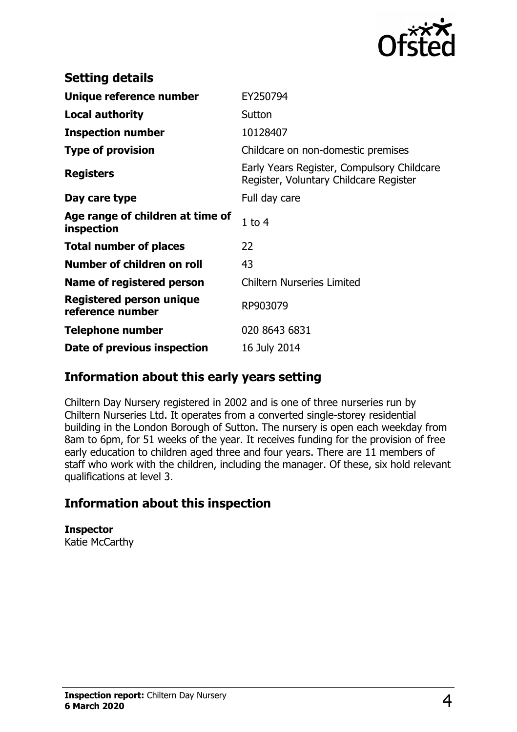

| <b>Setting details</b>                         |                                                                                      |
|------------------------------------------------|--------------------------------------------------------------------------------------|
| Unique reference number                        | EY250794                                                                             |
| <b>Local authority</b>                         | Sutton                                                                               |
| <b>Inspection number</b>                       | 10128407                                                                             |
| <b>Type of provision</b>                       | Childcare on non-domestic premises                                                   |
| <b>Registers</b>                               | Early Years Register, Compulsory Childcare<br>Register, Voluntary Childcare Register |
| Day care type                                  | Full day care                                                                        |
| Age range of children at time of<br>inspection | $1$ to $4$                                                                           |
| <b>Total number of places</b>                  | 22                                                                                   |
| Number of children on roll                     | 43                                                                                   |
| Name of registered person                      | <b>Chiltern Nurseries Limited</b>                                                    |
| Registered person unique<br>reference number   | RP903079                                                                             |
| <b>Telephone number</b>                        | 020 8643 6831                                                                        |
| Date of previous inspection                    | 16 July 2014                                                                         |

### **Information about this early years setting**

Chiltern Day Nursery registered in 2002 and is one of three nurseries run by Chiltern Nurseries Ltd. It operates from a converted single-storey residential building in the London Borough of Sutton. The nursery is open each weekday from 8am to 6pm, for 51 weeks of the year. It receives funding for the provision of free early education to children aged three and four years. There are 11 members of staff who work with the children, including the manager. Of these, six hold relevant qualifications at level 3.

## **Information about this inspection**

**Inspector** Katie McCarthy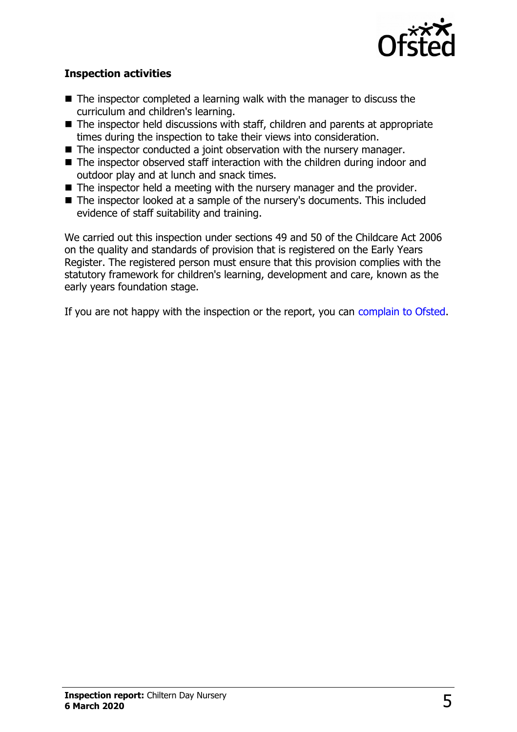

#### **Inspection activities**

- $\blacksquare$  The inspector completed a learning walk with the manager to discuss the curriculum and children's learning.
- $\blacksquare$  The inspector held discussions with staff, children and parents at appropriate times during the inspection to take their views into consideration.
- $\blacksquare$  The inspector conducted a joint observation with the nursery manager.
- $\blacksquare$  The inspector observed staff interaction with the children during indoor and outdoor play and at lunch and snack times.
- $\blacksquare$  The inspector held a meeting with the nursery manager and the provider.
- The inspector looked at a sample of the nursery's documents. This included evidence of staff suitability and training.

We carried out this inspection under sections 49 and 50 of the Childcare Act 2006 on the quality and standards of provision that is registered on the Early Years Register. The registered person must ensure that this provision complies with the statutory framework for children's learning, development and care, known as the early years foundation stage.

If you are not happy with the inspection or the report, you can [complain to Ofsted.](http://www.gov.uk/complain-ofsted-report)